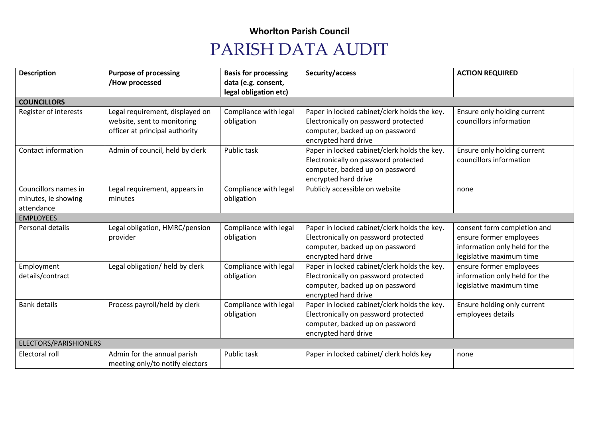## **Whorlton Parish Council**

## PARISH DATA AUDIT

| <b>Description</b>                          | <b>Purpose of processing</b>    | <b>Basis for processing</b> | Security/access                              | <b>ACTION REQUIRED</b>        |  |  |  |
|---------------------------------------------|---------------------------------|-----------------------------|----------------------------------------------|-------------------------------|--|--|--|
|                                             | /How processed                  | data (e.g. consent,         |                                              |                               |  |  |  |
| legal obligation etc)<br><b>COUNCILLORS</b> |                                 |                             |                                              |                               |  |  |  |
|                                             |                                 |                             |                                              |                               |  |  |  |
| Register of interests                       | Legal requirement, displayed on | Compliance with legal       | Paper in locked cabinet/clerk holds the key. | Ensure only holding current   |  |  |  |
|                                             | website, sent to monitoring     | obligation                  | Electronically on password protected         | councillors information       |  |  |  |
|                                             | officer at principal authority  |                             | computer, backed up on password              |                               |  |  |  |
|                                             |                                 |                             | encrypted hard drive                         |                               |  |  |  |
| Contact information                         | Admin of council, held by clerk | Public task                 | Paper in locked cabinet/clerk holds the key. | Ensure only holding current   |  |  |  |
|                                             |                                 |                             | Electronically on password protected         | councillors information       |  |  |  |
|                                             |                                 |                             | computer, backed up on password              |                               |  |  |  |
|                                             |                                 |                             | encrypted hard drive                         |                               |  |  |  |
| Councillors names in                        | Legal requirement, appears in   | Compliance with legal       | Publicly accessible on website               | none                          |  |  |  |
| minutes, ie showing                         | minutes                         | obligation                  |                                              |                               |  |  |  |
| attendance                                  |                                 |                             |                                              |                               |  |  |  |
| <b>EMPLOYEES</b>                            |                                 |                             |                                              |                               |  |  |  |
| Personal details                            | Legal obligation, HMRC/pension  | Compliance with legal       | Paper in locked cabinet/clerk holds the key. | consent form completion and   |  |  |  |
|                                             | provider                        | obligation                  | Electronically on password protected         | ensure former employees       |  |  |  |
|                                             |                                 |                             | computer, backed up on password              | information only held for the |  |  |  |
|                                             |                                 |                             | encrypted hard drive                         | legislative maximum time      |  |  |  |
| Employment                                  | Legal obligation/ held by clerk | Compliance with legal       | Paper in locked cabinet/clerk holds the key. | ensure former employees       |  |  |  |
| details/contract                            |                                 | obligation                  | Electronically on password protected         | information only held for the |  |  |  |
|                                             |                                 |                             | computer, backed up on password              | legislative maximum time      |  |  |  |
|                                             |                                 |                             | encrypted hard drive                         |                               |  |  |  |
| <b>Bank details</b>                         | Process payroll/held by clerk   | Compliance with legal       | Paper in locked cabinet/clerk holds the key. | Ensure holding only current   |  |  |  |
|                                             |                                 | obligation                  | Electronically on password protected         | employees details             |  |  |  |
|                                             |                                 |                             | computer, backed up on password              |                               |  |  |  |
|                                             |                                 |                             | encrypted hard drive                         |                               |  |  |  |
| ELECTORS/PARISHIONERS                       |                                 |                             |                                              |                               |  |  |  |
| Electoral roll                              | Admin for the annual parish     | Public task                 | Paper in locked cabinet/ clerk holds key     | none                          |  |  |  |
|                                             | meeting only/to notify electors |                             |                                              |                               |  |  |  |